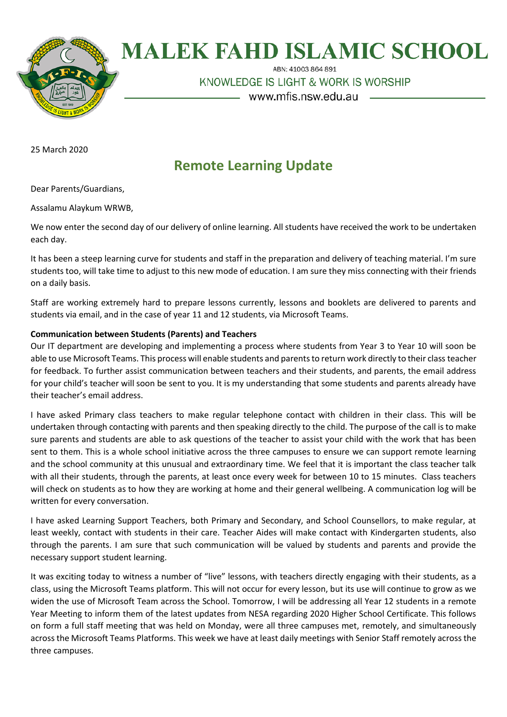

# **MALEK FAHD ISLAMIC SCHOOL**

ABN: 41003 864 891

KNOWLEDGE IS LIGHT & WORK IS WORSHIP

- www.mfis.nsw.edu.au

25 March 2020

# **Remote Learning Update**

Dear Parents/Guardians,

Assalamu Alaykum WRWB,

We now enter the second day of our delivery of online learning. All students have received the work to be undertaken each day.

It has been a steep learning curve for students and staff in the preparation and delivery of teaching material. I'm sure students too, will take time to adjust to this new mode of education. I am sure they miss connecting with their friends on a daily basis.

Staff are working extremely hard to prepare lessons currently, lessons and booklets are delivered to parents and students via email, and in the case of year 11 and 12 students, via Microsoft Teams.

## **Communication between Students (Parents) and Teachers**

Our IT department are developing and implementing a process where students from Year 3 to Year 10 will soon be able to use Microsoft Teams. This process will enable students and parents to return work directly to their classteacher for feedback. To further assist communication between teachers and their students, and parents, the email address for your child's teacher will soon be sent to you. It is my understanding that some students and parents already have their teacher's email address.

I have asked Primary class teachers to make regular telephone contact with children in their class. This will be undertaken through contacting with parents and then speaking directly to the child. The purpose of the call is to make sure parents and students are able to ask questions of the teacher to assist your child with the work that has been sent to them. This is a whole school initiative across the three campuses to ensure we can support remote learning and the school community at this unusual and extraordinary time. We feel that it is important the class teacher talk with all their students, through the parents, at least once every week for between 10 to 15 minutes. Class teachers will check on students as to how they are working at home and their general wellbeing. A communication log will be written for every conversation.

I have asked Learning Support Teachers, both Primary and Secondary, and School Counsellors, to make regular, at least weekly, contact with students in their care. Teacher Aides will make contact with Kindergarten students, also through the parents. I am sure that such communication will be valued by students and parents and provide the necessary support student learning.

It was exciting today to witness a number of "live" lessons, with teachers directly engaging with their students, as a class, using the Microsoft Teams platform. This will not occur for every lesson, but its use will continue to grow as we widen the use of Microsoft Team across the School. Tomorrow, I will be addressing all Year 12 students in a remote Year Meeting to inform them of the latest updates from NESA regarding 2020 Higher School Certificate. This follows on form a full staff meeting that was held on Monday, were all three campuses met, remotely, and simultaneously across the Microsoft Teams Platforms. This week we have at least daily meetings with Senior Staff remotely across the three campuses.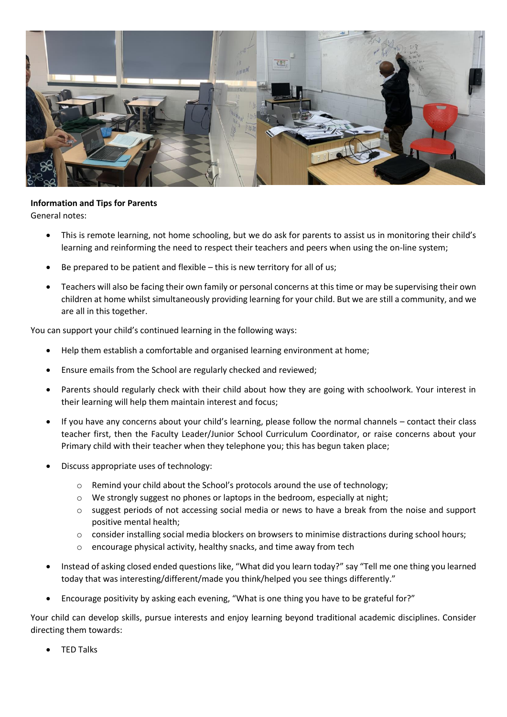

## **Information and Tips for Parents**

General notes:

- This is remote learning, not home schooling, but we do ask for parents to assist us in monitoring their child's learning and reinforming the need to respect their teachers and peers when using the on-line system;
- Be prepared to be patient and flexible this is new territory for all of us;
- Teachers will also be facing their own family or personal concerns at this time or may be supervising their own children at home whilst simultaneously providing learning for your child. But we are still a community, and we are all in this together.

You can support your child's continued learning in the following ways:

- Help them establish a comfortable and organised learning environment at home;
- Ensure emails from the School are regularly checked and reviewed;
- Parents should regularly check with their child about how they are going with schoolwork. Your interest in their learning will help them maintain interest and focus;
- If you have any concerns about your child's learning, please follow the normal channels contact their class teacher first, then the Faculty Leader/Junior School Curriculum Coordinator, or raise concerns about your Primary child with their teacher when they telephone you; this has begun taken place;
- Discuss appropriate uses of technology:
	- o Remind your child about the School's protocols around the use of technology;
	- o We strongly suggest no phones or laptops in the bedroom, especially at night;
	- o suggest periods of not accessing social media or news to have a break from the noise and support positive mental health;
	- $\circ$  consider installing social media blockers on browsers to minimise distractions during school hours;
	- o encourage physical activity, healthy snacks, and time away from tech
- Instead of asking closed ended questions like, "What did you learn today?" say "Tell me one thing you learned today that was interesting/different/made you think/helped you see things differently."
- Encourage positivity by asking each evening, "What is one thing you have to be grateful for?"

Your child can develop skills, pursue interests and enjoy learning beyond traditional academic disciplines. Consider directing them towards:

TED Talks